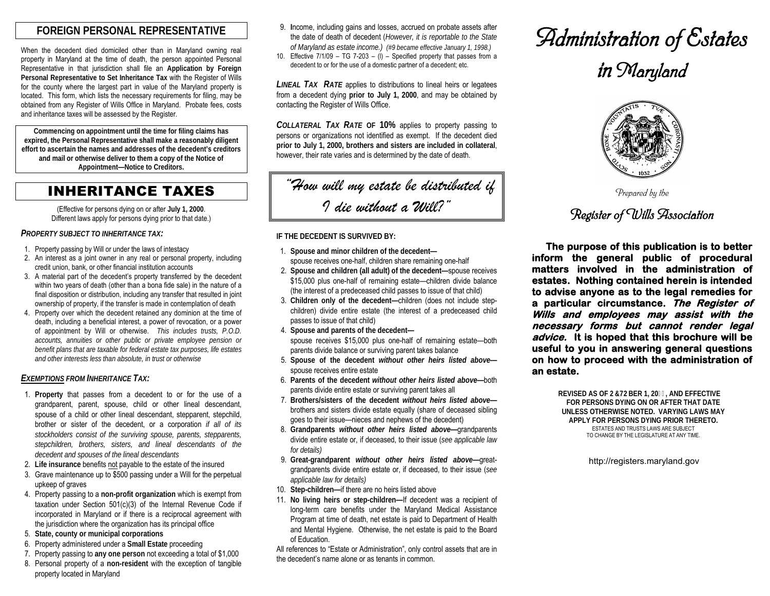## **FOREIGN PERSONAL REPRESENTATIVE**

When the decedent died domiciled other than in Maryland owning real property in Maryland at the time of death, the person appointed Personal Representative in that jurisdiction shall file an **Application by Foreign Personal Representative to Set Inheritance Tax** with the Register of Wills for the county where the largest part in value of the Maryland property is located. This form, which lists the necessary requirements for filing, may be obtained from any Register of Wills Office in Maryland. Probate fees, costs and inheritance taxes will be assessed by the Register.

**Commencing on appointment until the time for filing claims has expired, the Personal Representative shall make a reasonably diligent effort to ascertain the names and addresses of the decedent's creditors and mail or otherwise deliver to them a copy of the Notice of Appointment—Notice to Creditors.**

INHERITANCE TAXES

(Effective for persons dying on or after **July 1, 2000**. Different laws apply for persons dying prior to that date.)

*PROPERTY SUBJECT TO INHERITANCE TAX:* 

- 1. Property passing by Will or under the laws of intestacy
- 2. An interest as a joint owner in any real or personal property, including credit union, bank, or other financial institution accounts
- 3. A material part of the decedent's property transferred by the decedent within two years of death (other than a bona fide sale) in the nature of a final disposition or distribution, including any transfer that resulted in joint ownership of property, if the transfer is made in contemplation of death
- 4. Property over which the decedent retained any dominion at the time of death, including a beneficial interest, a power of revocation, or a power of appointment by Will or otherwise. *This includes trusts, P.O.D. accounts, annuities or other public or private employee pension or benefit plans that are taxable for federal estate tax purposes, life estates and other interests less than absolute, in trust or otherwise*

#### *EXEMPTIONS FROM INHERITANCE TAX:*

- 1. **Property** that passes from a decedent to or for the use of a grandparent, parent, spouse, child or other lineal descendant, spouse of a child or other lineal descendant, stepparent, stepchild, brother or sister of the decedent, or a corporation *if all of its stockholders consist of the surviving spouse, parents, stepparents, stepchildren, brothers, sisters, and lineal descendants of the decedent and spouses of the lineal descendants*
- 2. **Life insurance** benefits not payable to the estate of the insured
- 3. Grave maintenance up to \$500 passing under a Will for the perpetual upkeep of graves
- 4. Property passing to a **non-profit organization** which is exempt from taxation under Section 501(c)(3) of the Internal Revenue Code if incorporated in Maryland or if there is a reciprocal agreement with the jurisdiction where the organization has its principal office
- 5. **State, county or municipal corporations**
- 6. Property administered under a **Small Estate** proceeding
- 7. Property passing to **any one person** not exceeding a total of \$1,000 8. Personal property of a **non-resident** with the exception of tangible property located in Maryland
- 9. **I**ncome, including gains and losses, accrued on probate assets after the date of death of decedent (*However, it is reportable to the State of Maryland as estate income.) (#9 became effective January 1, 1998.)*
- 10. Effective 7/1/09 TG 7-203 (l) Specified property that passes from a decedent to or for the use of a domestic partner of a decedent; etc.

*LINEAL TAX RATE* applies to distributions to lineal heirs or legatees from a decedent dying **prior to July 1, 2000**, and may be obtained by contacting the Register of Wills Office.

*COLLATERAL TAX RATE* **OF 10%** applies to property passing to persons or organizations not identified as exempt. If the decedent died **prior to July 1, 2000, brothers and sisters are included in collateral**, however, their rate varies and is determined by the date of death.

 *"How will my estate be distributed if I die without a Will?"*

#### **IF THE DECEDENT IS SURVIVED BY:**

- 1. **Spouse and minor children of the decedent** spouse receives one-half, children share remaining one-half
- 2. **Spouse and children (all adult) of the decedent—**spouse receives \$15,000 plus one-half of remaining estate—children divide balance (the interest of a predeceased child passes to issue of that child)
- 3. **Children only of the decedent—**children (does not include stepchildren) divide entire estate (the interest of a predeceased child passes to issue of that child)
- 4. **Spouse and parents of the decedent**  spouse receives \$15,000 plus one-half of remaining estate—both parents divide balance or surviving parent takes balance
- 5. **Spouse of the decedent** *without other heirs listed above* spouse receives entire estate
- 6. **Parents of the decedent** *without other heirs listed above—*both parents divide entire estate or surviving parent takes all
- 7. **Brothers/sisters of the decedent** *without heirs listed above* brothers and sisters divide estate equally (share of deceased sibling goes to their issue—nieces and nephews of the decedent)
- 8. **Grandparents** *without other heirs listed above—*grandparents divide entire estate or, if deceased, to their issue (*see applicable law for details)*
- 9. **Great-grandparent** *without other heirs listed above—*greatgrandparents divide entire estate or, if deceased, to their issue (*see applicable law for details)*
- 10. **Step-children—**if there are no heirs listed above
- 11. **No living heirs or step-children—**If decedent was a recipient of long-term care benefits under the Maryland Medical Assistance Program at time of death, net estate is paid to Department of Health and Mental Hygiene. Otherwise, the net estate is paid to the Board of Education.

All references to "Estate or Administration", only control assets that are in the decedent's name alone or as tenants in common.

# *Administration of Estates in Maryland*



*Prepared by the*

# *Register of Wills Association*

**The purpose of this publication is to better inform the general public of procedural matters involved in the administration of estates. Nothing contained herein is intended to advise anyone as to the legal remedies for a particular circumstance. The Register of Wills and employees may assist with the necessary forms but cannot render legal advice. It is hoped that this brochure will be useful to you in answering general questions on how to proceed with the administration of an estate.** 

> **REVISED AS OF 2&72BER 1, 20, AND EFFECTIVE FOR PERSONS DYING ON OR AFTER THAT DATE UNLESS OTHERWISE NOTED. VARYING LAWS MAY APPLY FOR PERSONS DYING PRIOR THERETO.** ESTATES AND TRUSTS LAWS ARE SUBJECT TO CHANGE BY THE LEGISLATURE AT ANY TIME.

> > http://registers.maryland.gov